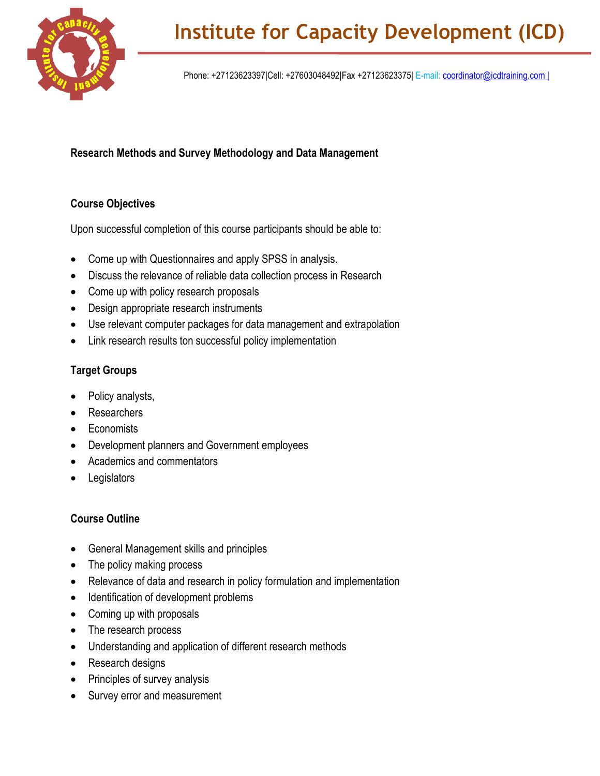

Phone: +27123623397|Cell: +27603048492|Fax +27123623375| E-mail: [coordinator@icdtraining.com |](mailto:coordinator@icdtraining.com%20%7C)

## **Research Methods and Survey Methodology and Data Management**

## **Course Objectives**

Upon successful completion of this course participants should be able to:

- Come up with Questionnaires and apply SPSS in analysis.
- Discuss the relevance of reliable data collection process in Research
- Come up with policy research proposals
- Design appropriate research instruments
- Use relevant computer packages for data management and extrapolation
- Link research results ton successful policy implementation

## **Target Groups**

- Policy analysts,
- Researchers
- Economists
- Development planners and Government employees
- Academics and commentators
- **Legislators**

## **Course Outline**

- General Management skills and principles
- The policy making process
- Relevance of data and research in policy formulation and implementation
- Identification of development problems
- Coming up with proposals
- The research process
- Understanding and application of different research methods
- Research designs
- Principles of survey analysis
- Survey error and measurement